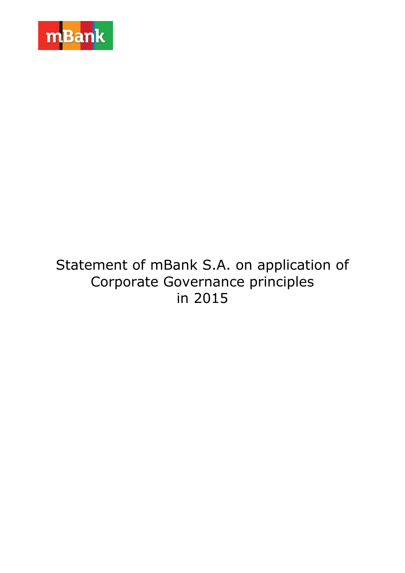

# Statement of mBank S.A. on application of Corporate Governance principles in 2015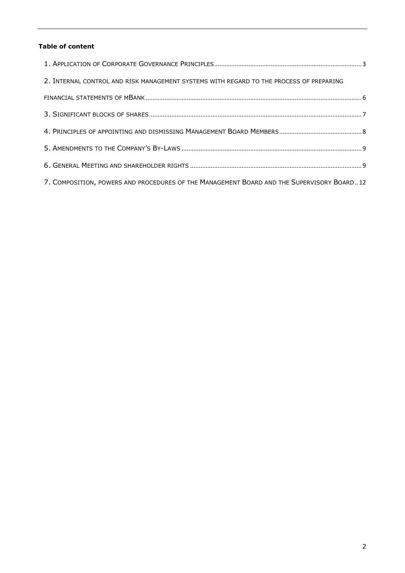# **Table of content**

| 2. INTERNAL CONTROL AND RISK MANAGEMENT SYSTEMS WITH REGARD TO THE PROCESS OF PREPARING   |  |
|-------------------------------------------------------------------------------------------|--|
|                                                                                           |  |
|                                                                                           |  |
|                                                                                           |  |
|                                                                                           |  |
|                                                                                           |  |
| 7. COMPOSITION, POWERS AND PROCEDURES OF THE MANAGEMENT BOARD AND THE SUPERVISORY BOARD12 |  |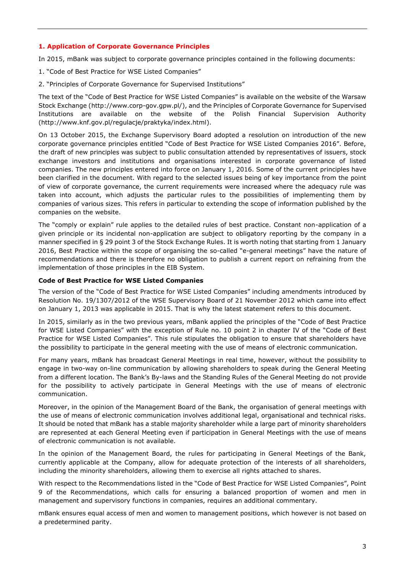#### <span id="page-2-0"></span>**1. Application of Corporate Governance Principles**

In 2015, mBank was subject to corporate governance principles contained in the following documents:

- 1. "Code of Best Practice for WSE Listed Companies"
- 2. "Principles of Corporate Governance for Supervised Institutions"

The text of the "Code of Best Practice for WSE Listed Companies" is available on the website of the Warsaw Stock Exchange [\(http://www.corp-gov.gpw.pl/\)](http://www.knf.gov.pl/regulacje/praktyka/index.html), and the Principles of Corporate Governance for Supervised Institutions are available on the website of the Polish Financial Supervision Authority [\(http://www.knf.gov.pl/regulacje/praktyka/index.html\)](http://www.corp-gov.gpw.pl/).

On 13 October 2015, the Exchange Supervisory Board adopted a resolution on introduction of the new corporate governance principles entitled "Code of Best Practice for WSE Listed Companies 2016". Before, the draft of new principles was subject to public consultation attended by representatives of issuers, stock exchange investors and institutions and organisations interested in corporate governance of listed companies. The new principles entered into force on January 1, 2016. Some of the current principles have been clarified in the document. With regard to the selected issues being of key importance from the point of view of corporate governance, the current requirements were increased where the adequacy rule was taken into account, which adjusts the particular rules to the possibilities of implementing them by companies of various sizes. This refers in particular to extending the scope of information published by the companies on the website.

The "comply or explain" rule applies to the detailed rules of best practice. Constant non-application of a given principle or its incidental non-application are subject to obligatory reporting by the company in a manner specified in § 29 point 3 of the Stock Exchange Rules. It is worth noting that starting from 1 January 2016, Best Practice within the scope of organising the so-called "e-general meetings" have the nature of recommendations and there is therefore no obligation to publish a current report on refraining from the implementation of those principles in the EIB System.

## **Code of Best Practice for WSE Listed Companies**

The version of the "Code of Best Practice for WSE Listed Companies" including amendments introduced by Resolution No. 19/1307/2012 of the WSE Supervisory Board of 21 November 2012 which came into effect on January 1, 2013 was applicable in 2015. That is why the latest statement refers to this document.

In 2015, similarly as in the two previous years, mBank applied the principles of the "Code of Best Practice for WSE Listed Companies" with the exception of Rule no. 10 point 2 in chapter IV of the "Code of Best Practice for WSE Listed Companies". This rule stipulates the obligation to ensure that shareholders have the possibility to participate in the general meeting with the use of means of electronic communication.

For many years, mBank has broadcast General Meetings in real time, however, without the possibility to engage in two-way on-line communication by allowing shareholders to speak during the General Meeting from a different location. The Bank's By-laws and the Standing Rules of the General Meeting do not provide for the possibility to actively participate in General Meetings with the use of means of electronic communication.

Moreover, in the opinion of the Management Board of the Bank, the organisation of general meetings with the use of means of electronic communication involves additional legal, organisational and technical risks. It should be noted that mBank has a stable majority shareholder while a large part of minority shareholders are represented at each General Meeting even if participation in General Meetings with the use of means of electronic communication is not available.

In the opinion of the Management Board, the rules for participating in General Meetings of the Bank, currently applicable at the Company, allow for adequate protection of the interests of all shareholders, including the minority shareholders, allowing them to exercise all rights attached to shares.

With respect to the Recommendations listed in the "Code of Best Practice for WSE Listed Companies", Point 9 of the Recommendations, which calls for ensuring a balanced proportion of women and men in management and supervisory functions in companies, requires an additional commentary.

mBank ensures equal access of men and women to management positions, which however is not based on a predetermined parity.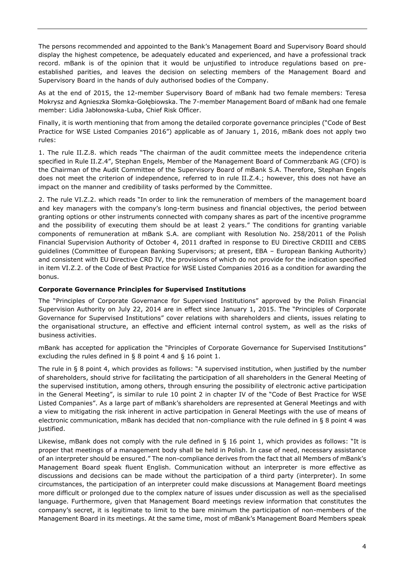The persons recommended and appointed to the Bank's Management Board and Supervisory Board should display the highest competence, be adequately educated and experienced, and have a professional track record. mBank is of the opinion that it would be unjustified to introduce regulations based on preestablished parities, and leaves the decision on selecting members of the Management Board and Supervisory Board in the hands of duly authorised bodies of the Company.

As at the end of 2015, the 12-member Supervisory Board of mBank had two female members: Teresa Mokrysz and Agnieszka Słomka-Gołębiowska. The 7-member Management Board of mBank had one female member: Lidia Jabłonowska-Luba, Chief Risk Officer.

Finally, it is worth mentioning that from among the detailed corporate governance principles ("Code of Best Practice for WSE Listed Companies 2016") applicable as of January 1, 2016, mBank does not apply two rules:

1. The rule II.Z.8. which reads "The chairman of the audit committee meets the independence criteria specified in Rule II.Z.4", Stephan Engels, Member of the Management Board of Commerzbank AG (CFO) is the Chairman of the Audit Committee of the Supervisory Board of mBank S.A. Therefore, Stephan Engels does not meet the criterion of independence, referred to in rule II.Z.4.; however, this does not have an impact on the manner and credibility of tasks performed by the Committee.

2. The rule VI.Z.2. which reads "In order to link the remuneration of members of the management board and key managers with the company's long-term business and financial objectives, the period between granting options or other instruments connected with company shares as part of the incentive programme and the possibility of executing them should be at least 2 years." The conditions for granting variable components of remuneration at mBank S.A. are compliant with Resolution No. 258/2011 of the Polish Financial Supervision Authority of October 4, 2011 drafted in response to EU Directive CRDIII and CEBS guidelines (Committee of European Banking Supervisors; at present, EBA – European Banking Authority) and consistent with EU Directive CRD IV, the provisions of which do not provide for the indication specified in item VI.Z.2. of the Code of Best Practice for WSE Listed Companies 2016 as a condition for awarding the bonus.

# **Corporate Governance Principles for Supervised Institutions**

The "Principles of Corporate Governance for Supervised Institutions" approved by the Polish Financial Supervision Authority on July 22, 2014 are in effect since January 1, 2015. The "Principles of Corporate Governance for Supervised Institutions" cover relations with shareholders and clients, issues relating to the organisational structure, an effective and efficient internal control system, as well as the risks of business activities.

mBank has accepted for application the "Principles of Corporate Governance for Supervised Institutions" excluding the rules defined in § 8 point 4 and § 16 point 1.

The rule in § 8 point 4, which provides as follows: "A supervised institution, when justified by the number of shareholders, should strive for facilitating the participation of all shareholders in the General Meeting of the supervised institution, among others, through ensuring the possibility of electronic active participation in the General Meeting", is similar to rule 10 point 2 in chapter IV of the "Code of Best Practice for WSE Listed Companies". As a large part of mBank's shareholders are represented at General Meetings and with a view to mitigating the risk inherent in active participation in General Meetings with the use of means of electronic communication, mBank has decided that non-compliance with the rule defined in § 8 point 4 was justified.

Likewise, mBank does not comply with the rule defined in § 16 point 1, which provides as follows: "It is proper that meetings of a management body shall be held in Polish. In case of need, necessary assistance of an interpreter should be ensured." The non-compliance derives from the fact that all Members of mBank's Management Board speak fluent English. Communication without an interpreter is more effective as discussions and decisions can be made without the participation of a third party (interpreter). In some circumstances, the participation of an interpreter could make discussions at Management Board meetings more difficult or prolonged due to the complex nature of issues under discussion as well as the specialised language. Furthermore, given that Management Board meetings review information that constitutes the company's secret, it is legitimate to limit to the bare minimum the participation of non-members of the Management Board in its meetings. At the same time, most of mBank's Management Board Members speak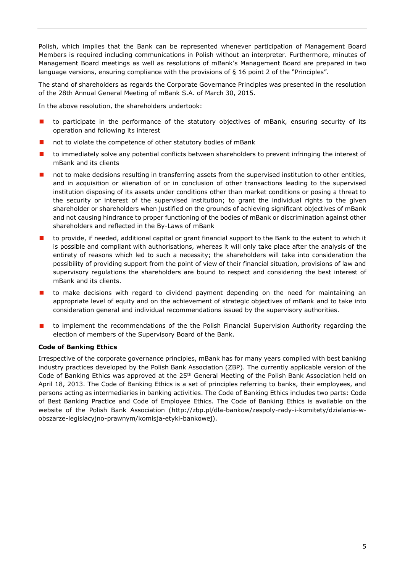Polish, which implies that the Bank can be represented whenever participation of Management Board Members is required including communications in Polish without an interpreter. Furthermore, minutes of Management Board meetings as well as resolutions of mBank's Management Board are prepared in two language versions, ensuring compliance with the provisions of § 16 point 2 of the "Principles".

The stand of shareholders as regards the Corporate Governance Principles was presented in the resolution of the 28th Annual General Meeting of mBank S.A. of March 30, 2015.

In the above resolution, the shareholders undertook:

- **t** to participate in the performance of the statutory objectives of mBank, ensuring security of its operation and following its interest
- not to violate the competence of other statutory bodies of mBank
- $\blacksquare$  to immediately solve any potential conflicts between shareholders to prevent infringing the interest of mBank and its clients
- not to make decisions resulting in transferring assets from the supervised institution to other entities, and in acquisition or alienation of or in conclusion of other transactions leading to the supervised institution disposing of its assets under conditions other than market conditions or posing a threat to the security or interest of the supervised institution; to grant the individual rights to the given shareholder or shareholders when justified on the grounds of achieving significant objectives of mBank and not causing hindrance to proper functioning of the bodies of mBank or discrimination against other shareholders and reflected in the By-Laws of mBank
- **Dubt** to provide, if needed, additional capital or grant financial support to the Bank to the extent to which it is possible and compliant with authorisations, whereas it will only take place after the analysis of the entirety of reasons which led to such a necessity; the shareholders will take into consideration the possibility of providing support from the point of view of their financial situation, provisions of law and supervisory regulations the shareholders are bound to respect and considering the best interest of mBank and its clients.
- **to make decisions with regard to dividend payment depending on the need for maintaining an** appropriate level of equity and on the achievement of strategic objectives of mBank and to take into consideration general and individual recommendations issued by the supervisory authorities.
- **D** to implement the recommendations of the the Polish Financial Supervision Authority regarding the election of members of the Supervisory Board of the Bank.

# **Code of Banking Ethics**

Irrespective of the corporate governance principles, mBank has for many years complied with best banking industry practices developed by the Polish Bank Association (ZBP). The currently applicable version of the Code of Banking Ethics was approved at the 25<sup>th</sup> General Meeting of the Polish Bank Association held on April 18, 2013. The Code of Banking Ethics is a set of principles referring to banks, their employees, and persons acting as intermediaries in banking activities. The Code of Banking Ethics includes two parts: Code of Best Banking Practice and Code of Employee Ethics. The Code of Banking Ethics is available on the website of the Polish Bank Association [\(http://zbp.pl/dla-bankow/zespoly-rady-i-komitety/dzialania-w](http://zbp.pl/dla-bankow/zespoly-rady-i-komitety/dzialania-w-obszarze-legislacyjno-prawnym/komisja-etyki-bankowej)[obszarze-legislacyjno-prawnym/komisja-etyki-bankowej\)](http://zbp.pl/dla-bankow/zespoly-rady-i-komitety/dzialania-w-obszarze-legislacyjno-prawnym/komisja-etyki-bankowej).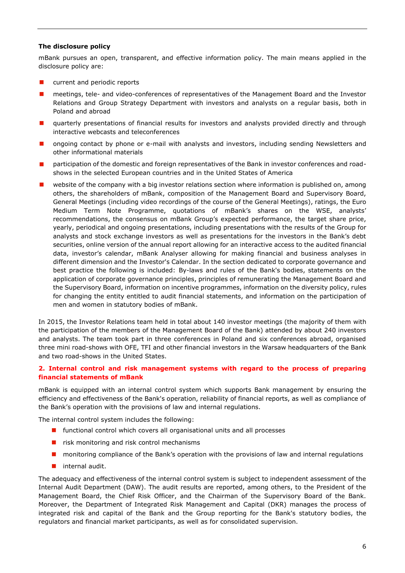## **The disclosure policy**

mBank pursues an open, transparent, and effective information policy. The main means applied in the disclosure policy are:

- **E** current and periodic reports
- **n** meetings, tele- and video-conferences of representatives of the Management Board and the Investor Relations and Group Strategy Department with investors and analysts on a regular basis, both in Poland and abroad
- **Quarterly presentations of financial results for investors and analysts provided directly and through** interactive webcasts and teleconferences
- **n** ongoing contact by phone or e-mail with analysts and investors, including sending Newsletters and other informational materials
- **Participation of the domestic and foreign representatives of the Bank in investor conferences and road**shows in the selected European countries and in the United States of America
- $\blacksquare$  website of the company with a big investor relations section where information is published on, among others, the shareholders of mBank, composition of the Management Board and Supervisory Board, General Meetings (including video recordings of the course of the General Meetings), ratings, the Euro Medium Term Note Programme, quotations of mBank's shares on the WSE, analysts' recommendations, the consensus on mBank Group's expected performance, the target share price, yearly, periodical and ongoing presentations, including presentations with the results of the Group for analysts and stock exchange investors as well as presentations for the investors in the Bank's debt securities, online version of the annual report allowing for an interactive access to the audited financial data, investor's calendar, mBank Analyser allowing for making financial and business analyses in different dimension and the Investor's Calendar. In the section dedicated to corporate governance and best practice the following is included: By-laws and rules of the Bank's bodies, statements on the application of corporate governance principles, principles of remunerating the Management Board and the Supervisory Board, information on incentive programmes, information on the diversity policy, rules for changing the entity entitled to audit financial statements, and information on the participation of men and women in statutory bodies of mBank.

In 2015, the Investor Relations team held in total about 140 investor meetings (the majority of them with the participation of the members of the Management Board of the Bank) attended by about 240 investors and analysts. The team took part in three conferences in Poland and six conferences abroad, organised three mini road-shows with OFE, TFI and other financial investors in the Warsaw headquarters of the Bank and two road-shows in the United States.

## <span id="page-5-0"></span>**2. Internal control and risk management systems with regard to the process of preparing financial statements of mBank**

mBank is equipped with an internal control system which supports Bank management by ensuring the efficiency and effectiveness of the Bank's operation, reliability of financial reports, as well as compliance of the Bank's operation with the provisions of law and internal regulations.

The internal control system includes the following:

- **F** functional control which covers all organisational units and all processes
- $\blacksquare$  risk monitoring and risk control mechanisms
- **n** monitoring compliance of the Bank's operation with the provisions of law and internal regulations
- $\blacksquare$  internal audit.

The adequacy and effectiveness of the internal control system is subject to independent assessment of the Internal Audit Department (DAW). The audit results are reported, among others, to the President of the Management Board, the Chief Risk Officer, and the Chairman of the Supervisory Board of the Bank. Moreover, the Department of Integrated Risk Management and Capital (DKR) manages the process of integrated risk and capital of the Bank and the Group reporting for the Bank's statutory bodies, the regulators and financial market participants, as well as for consolidated supervision.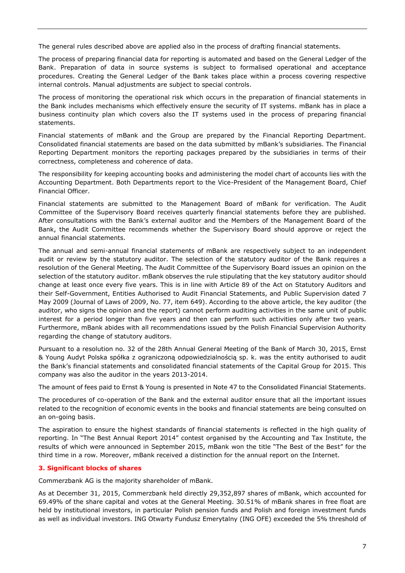The general rules described above are applied also in the process of drafting financial statements.

The process of preparing financial data for reporting is automated and based on the General Ledger of the Bank. Preparation of data in source systems is subject to formalised operational and acceptance procedures. Creating the General Ledger of the Bank takes place within a process covering respective internal controls. Manual adjustments are subject to special controls.

The process of monitoring the operational risk which occurs in the preparation of financial statements in the Bank includes mechanisms which effectively ensure the security of IT systems. mBank has in place a business continuity plan which covers also the IT systems used in the process of preparing financial statements.

Financial statements of mBank and the Group are prepared by the Financial Reporting Department. Consolidated financial statements are based on the data submitted by mBank's subsidiaries. The Financial Reporting Department monitors the reporting packages prepared by the subsidiaries in terms of their correctness, completeness and coherence of data.

The responsibility for keeping accounting books and administering the model chart of accounts lies with the Accounting Department. Both Departments report to the Vice-President of the Management Board, Chief Financial Officer.

Financial statements are submitted to the Management Board of mBank for verification. The Audit Committee of the Supervisory Board receives quarterly financial statements before they are published. After consultations with the Bank's external auditor and the Members of the Management Board of the Bank, the Audit Committee recommends whether the Supervisory Board should approve or reject the annual financial statements.

The annual and semi-annual financial statements of mBank are respectively subject to an independent audit or review by the statutory auditor. The selection of the statutory auditor of the Bank requires a resolution of the General Meeting. The Audit Committee of the Supervisory Board issues an opinion on the selection of the statutory auditor. mBank observes the rule stipulating that the key statutory auditor should change at least once every five years. This is in line with Article 89 of the Act on Statutory Auditors and their Self-Government, Entities Authorised to Audit Financial Statements, and Public Supervision dated 7 May 2009 (Journal of Laws of 2009, No. 77, item 649). According to the above article, the key auditor (the auditor, who signs the opinion and the report) cannot perform auditing activities in the same unit of public interest for a period longer than five years and then can perform such activities only after two years. Furthermore, mBank abides with all recommendations issued by the Polish Financial Supervision Authority regarding the change of statutory auditors.

Pursuant to a resolution no. 32 of the 28th Annual General Meeting of the Bank of March 30, 2015, Ernst & Young Audyt Polska spółka z ograniczoną odpowiedzialnością sp. k. was the entity authorised to audit the Bank's financial statements and consolidated financial statements of the Capital Group for 2015. This company was also the auditor in the years 2013-2014.

The amount of fees paid to Ernst & Young is presented in Note 47 to the Consolidated Financial Statements.

The procedures of co-operation of the Bank and the external auditor ensure that all the important issues related to the recognition of economic events in the books and financial statements are being consulted on an on-going basis.

The aspiration to ensure the highest standards of financial statements is reflected in the high quality of reporting. In "The Best Annual Report 2014" contest organised by the Accounting and Tax Institute, the results of which were announced in September 2015, mBank won the title "The Best of the Best" for the third time in a row. Moreover, mBank received a distinction for the annual report on the Internet.

# <span id="page-6-0"></span>**3. Significant blocks of shares**

Commerzbank AG is the majority shareholder of mBank.

As at December 31, 2015, Commerzbank held directly 29,352,897 shares of mBank, which accounted for 69.49% of the share capital and votes at the General Meeting. 30.51% of mBank shares in free float are held by institutional investors, in particular Polish pension funds and Polish and foreign investment funds as well as individual investors. ING Otwarty Fundusz Emerytalny (ING OFE) exceeded the 5% threshold of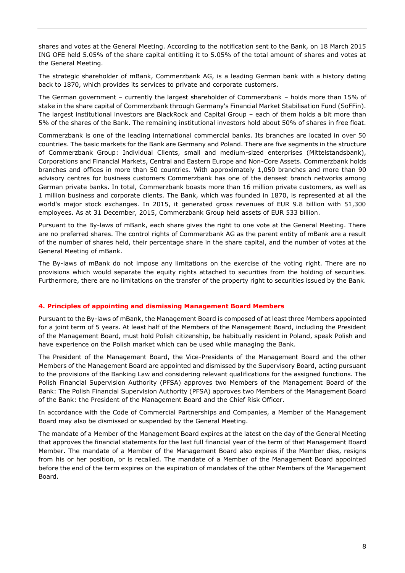shares and votes at the General Meeting. According to the notification sent to the Bank, on 18 March 2015 ING OFE held 5.05% of the share capital entitling it to 5.05% of the total amount of shares and votes at the General Meeting.

The strategic shareholder of mBank, Commerzbank AG, is a leading German bank with a history dating back to 1870, which provides its services to private and corporate customers.

The German government – currently the largest shareholder of Commerzbank – holds more than 15% of stake in the share capital of Commerzbank through Germany's Financial Market Stabilisation Fund (SoFFin). The largest institutional investors are BlackRock and Capital Group – each of them holds a bit more than 5% of the shares of the Bank. The remaining institutional investors hold about 50% of shares in free float.

Commerzbank is one of the leading international commercial banks. Its branches are located in over 50 countries. The basic markets for the Bank are Germany and Poland. There are five segments in the structure of Commerzbank Group: Individual Clients, small and medium-sized enterprises (Mittelstandsbank), Corporations and Financial Markets, Central and Eastern Europe and Non-Core Assets. Commerzbank holds branches and offices in more than 50 countries. With approximately 1,050 branches and more than 90 advisory centres for business customers Commerzbank has one of the densest branch networks among German private banks. In total, Commerzbank boasts more than 16 million private customers, as well as 1 million business and corporate clients. The Bank, which was founded in 1870, is represented at all the world's major stock exchanges. In 2015, it generated gross revenues of EUR 9.8 billion with 51,300 employees. As at 31 December, 2015, Commerzbank Group held assets of EUR 533 billion.

Pursuant to the By-laws of mBank, each share gives the right to one vote at the General Meeting. There are no preferred shares. The control rights of Commerzbank AG as the parent entity of mBank are a result of the number of shares held, their percentage share in the share capital, and the number of votes at the General Meeting of mBank.

The By-laws of mBank do not impose any limitations on the exercise of the voting right. There are no provisions which would separate the equity rights attached to securities from the holding of securities. Furthermore, there are no limitations on the transfer of the property right to securities issued by the Bank.

# <span id="page-7-0"></span>**4. Principles of appointing and dismissing Management Board Members**

Pursuant to the By-laws of mBank, the Management Board is composed of at least three Members appointed for a joint term of 5 years. At least half of the Members of the Management Board, including the President of the Management Board, must hold Polish citizenship, be habitually resident in Poland, speak Polish and have experience on the Polish market which can be used while managing the Bank.

The President of the Management Board, the Vice-Presidents of the Management Board and the other Members of the Management Board are appointed and dismissed by the Supervisory Board, acting pursuant to the provisions of the Banking Law and considering relevant qualifications for the assigned functions. The Polish Financial Supervision Authority (PFSA) approves two Members of the Management Board of the Bank: The Polish Financial Supervision Authority (PFSA) approves two Members of the Management Board of the Bank: the President of the Management Board and the Chief Risk Officer.

In accordance with the Code of Commercial Partnerships and Companies, a Member of the Management Board may also be dismissed or suspended by the General Meeting.

The mandate of a Member of the Management Board expires at the latest on the day of the General Meeting that approves the financial statements for the last full financial year of the term of that Management Board Member. The mandate of a Member of the Management Board also expires if the Member dies, resigns from his or her position, or is recalled. The mandate of a Member of the Management Board appointed before the end of the term expires on the expiration of mandates of the other Members of the Management Board.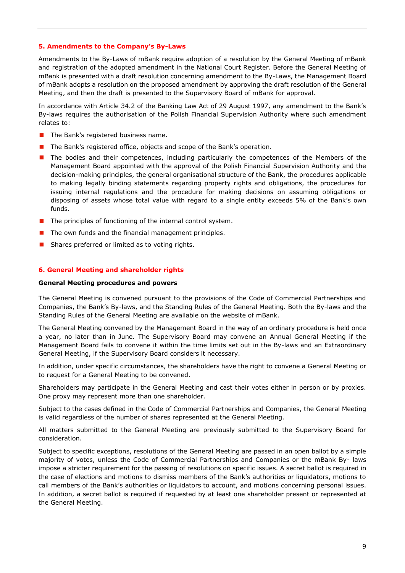#### <span id="page-8-0"></span>**5. Amendments to the Company's By-Laws**

Amendments to the By-Laws of mBank require adoption of a resolution by the General Meeting of mBank and registration of the adopted amendment in the National Court Register. Before the General Meeting of mBank is presented with a draft resolution concerning amendment to the By-Laws, the Management Board of mBank adopts a resolution on the proposed amendment by approving the draft resolution of the General Meeting, and then the draft is presented to the Supervisory Board of mBank for approval.

In accordance with Article 34.2 of the Banking Law Act of 29 August 1997, any amendment to the Bank's By-laws requires the authorisation of the Polish Financial Supervision Authority where such amendment relates to:

- $\blacksquare$  The Bank's registered business name.
- The Bank's registered office, objects and scope of the Bank's operation.
- **The bodies and their competences, including particularly the competences of the Members of the** Management Board appointed with the approval of the Polish Financial Supervision Authority and the decision-making principles, the general organisational structure of the Bank, the procedures applicable to making legally binding statements regarding property rights and obligations, the procedures for issuing internal regulations and the procedure for making decisions on assuming obligations or disposing of assets whose total value with regard to a single entity exceeds 5% of the Bank's own funds.
- $\blacksquare$  The principles of functioning of the internal control system.
- $\blacksquare$  The own funds and the financial management principles.
- Shares preferred or limited as to voting rights.

## <span id="page-8-1"></span>**6. General Meeting and shareholder rights**

#### **General Meeting procedures and powers**

The General Meeting is convened pursuant to the provisions of the Code of Commercial Partnerships and Companies, the Bank's By-laws, and the Standing Rules of the General Meeting. Both the By-laws and the Standing Rules of the General Meeting are available on the website of mBank.

The General Meeting convened by the Management Board in the way of an ordinary procedure is held once a year, no later than in June. The Supervisory Board may convene an Annual General Meeting if the Management Board fails to convene it within the time limits set out in the By-laws and an Extraordinary General Meeting, if the Supervisory Board considers it necessary.

In addition, under specific circumstances, the shareholders have the right to convene a General Meeting or to request for a General Meeting to be convened.

Shareholders may participate in the General Meeting and cast their votes either in person or by proxies. One proxy may represent more than one shareholder.

Subject to the cases defined in the Code of Commercial Partnerships and Companies, the General Meeting is valid regardless of the number of shares represented at the General Meeting.

All matters submitted to the General Meeting are previously submitted to the Supervisory Board for consideration.

Subject to specific exceptions, resolutions of the General Meeting are passed in an open ballot by a simple majority of votes, unless the Code of Commercial Partnerships and Companies or the mBank By- laws impose a stricter requirement for the passing of resolutions on specific issues. A secret ballot is required in the case of elections and motions to dismiss members of the Bank's authorities or liquidators, motions to call members of the Bank's authorities or liquidators to account, and motions concerning personal issues. In addition, a secret ballot is required if requested by at least one shareholder present or represented at the General Meeting.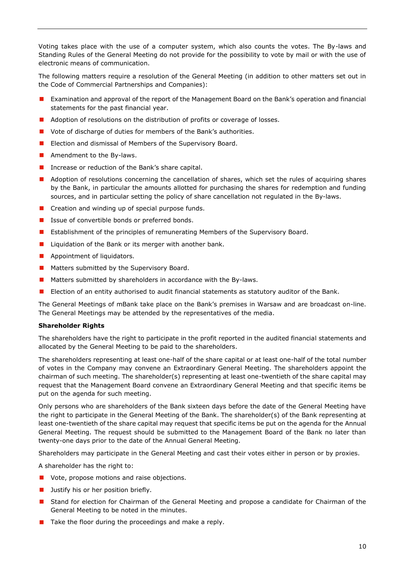Voting takes place with the use of a computer system, which also counts the votes. The By-laws and Standing Rules of the General Meeting do not provide for the possibility to vote by mail or with the use of electronic means of communication.

The following matters require a resolution of the General Meeting (in addition to other matters set out in the Code of Commercial Partnerships and Companies):

- **EXAMINATION 2018** Examination and approval of the report of the Management Board on the Bank's operation and financial statements for the past financial year.
- **Adoption of resolutions on the distribution of profits or coverage of losses.**
- Vote of discharge of duties for members of the Bank's authorities.
- **Election and dismissal of Members of the Supervisory Board.**
- **Amendment to the By-laws.**
- Increase or reduction of the Bank's share capital.
- **Adoption of resolutions concerning the cancellation of shares, which set the rules of acquiring shares** by the Bank, in particular the amounts allotted for purchasing the shares for redemption and funding sources, and in particular setting the policy of share cancellation not regulated in the By-laws.
- Creation and winding up of special purpose funds.
- Issue of convertible bonds or preferred bonds.
- **E** Establishment of the principles of remunerating Members of the Supervisory Board.
- Liquidation of the Bank or its merger with another bank.
- **Appointment of liquidators.**
- **Matters submitted by the Supervisory Board.**
- **Matters submitted by shareholders in accordance with the By-laws.**
- **E** Election of an entity authorised to audit financial statements as statutory auditor of the Bank.

The General Meetings of mBank take place on the Bank's premises in Warsaw and are broadcast on-line. The General Meetings may be attended by the representatives of the media.

#### **Shareholder Rights**

The shareholders have the right to participate in the profit reported in the audited financial statements and allocated by the General Meeting to be paid to the shareholders.

The shareholders representing at least one-half of the share capital or at least one-half of the total number of votes in the Company may convene an Extraordinary General Meeting. The shareholders appoint the chairman of such meeting. The shareholder(s) representing at least one-twentieth of the share capital may request that the Management Board convene an Extraordinary General Meeting and that specific items be put on the agenda for such meeting.

Only persons who are shareholders of the Bank sixteen days before the date of the General Meeting have the right to participate in the General Meeting of the Bank. The shareholder(s) of the Bank representing at least one-twentieth of the share capital may request that specific items be put on the agenda for the Annual General Meeting. The request should be submitted to the Management Board of the Bank no later than twenty-one days prior to the date of the Annual General Meeting.

Shareholders may participate in the General Meeting and cast their votes either in person or by proxies.

A shareholder has the right to:

- **U** Vote, propose motions and raise objections.
- **Justify his or her position briefly.**
- **E** Stand for election for Chairman of the General Meeting and propose a candidate for Chairman of the General Meeting to be noted in the minutes.
- $\blacksquare$  Take the floor during the proceedings and make a reply.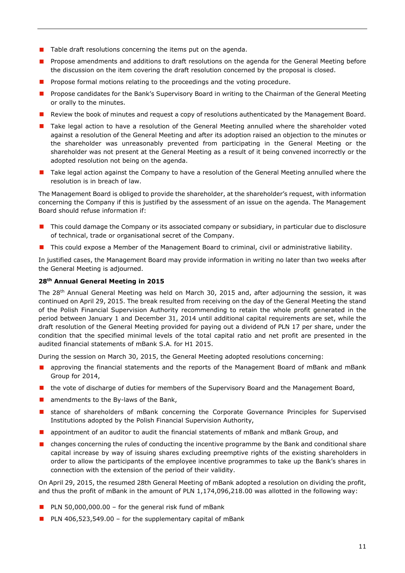- $\blacksquare$  Table draft resolutions concerning the items put on the agenda.
- **Propose amendments and additions to draft resolutions on the agenda for the General Meeting before** the discussion on the item covering the draft resolution concerned by the proposal is closed.
- **Propose formal motions relating to the proceedings and the voting procedure.**
- **Propose candidates for the Bank's Supervisory Board in writing to the Chairman of the General Meeting** or orally to the minutes.
- **Review the book of minutes and request a copy of resolutions authenticated by the Management Board.**
- **T** Take legal action to have a resolution of the General Meeting annulled where the shareholder voted against a resolution of the General Meeting and after its adoption raised an objection to the minutes or the shareholder was unreasonably prevented from participating in the General Meeting or the shareholder was not present at the General Meeting as a result of it being convened incorrectly or the adopted resolution not being on the agenda.
- **Thake legal action against the Company to have a resolution of the General Meeting annulled where the** resolution is in breach of law.

The Management Board is obliged to provide the shareholder, at the shareholder's request, with information concerning the Company if this is justified by the assessment of an issue on the agenda. The Management Board should refuse information if:

- **This could damage the Company or its associated company or subsidiary, in particular due to disclosure** of technical, trade or organisational secret of the Company.
- **This could expose a Member of the Management Board to criminal, civil or administrative liability.**

In justified cases, the Management Board may provide information in writing no later than two weeks after the General Meeting is adjourned.

# **28th Annual General Meeting in 2015**

The 28th Annual General Meeting was held on March 30, 2015 and, after adjourning the session, it was continued on April 29, 2015. The break resulted from receiving on the day of the General Meeting the stand of the Polish Financial Supervision Authority recommending to retain the whole profit generated in the period between January 1 and December 31, 2014 until additional capital requirements are set, while the draft resolution of the General Meeting provided for paying out a dividend of PLN 17 per share, under the condition that the specified minimal levels of the total capital ratio and net profit are presented in the audited financial statements of mBank S.A. for H1 2015.

During the session on March 30, 2015, the General Meeting adopted resolutions concerning:

- **A** approving the financial statements and the reports of the Management Board of mBank and mBank Group for 2014,
- **n** the vote of discharge of duties for members of the Supervisory Board and the Management Board,
- $\blacksquare$  amendments to the By-laws of the Bank,
- **E** stance of shareholders of mBank concerning the Corporate Governance Principles for Supervised Institutions adopted by the Polish Financial Supervision Authority,
- **A** appointment of an auditor to audit the financial statements of mBank and mBank Group, and
- **n** changes concerning the rules of conducting the incentive programme by the Bank and conditional share capital increase by way of issuing shares excluding preemptive rights of the existing shareholders in order to allow the participants of the employee incentive programmes to take up the Bank's shares in connection with the extension of the period of their validity.

On April 29, 2015, the resumed 28th General Meeting of mBank adopted a resolution on dividing the profit, and thus the profit of mBank in the amount of PLN 1,174,096,218.00 was allotted in the following way:

- PLN 50,000,000.00 for the general risk fund of mBank
- **PLN** 406,523,549.00 for the supplementary capital of mBank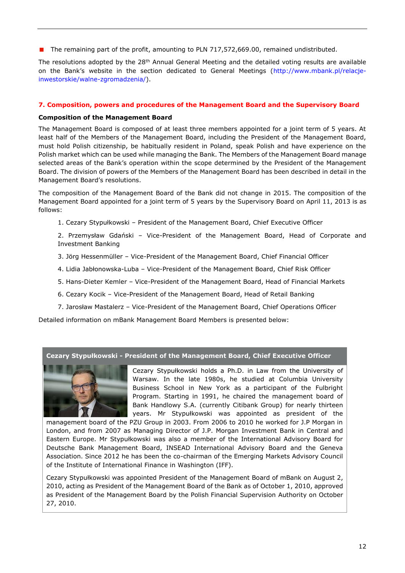■ The remaining part of the profit, amounting to PLN 717,572,669.00, remained undistributed.

The resolutions adopted by the  $28<sup>th</sup>$  Annual General Meeting and the detailed voting results are available on the Bank's website in the section dedicated to General Meetings ([http://www.mbank.pl/relacje](http://www.mbank.pl/relacje-inwestorskie/walne-zgromadzenia/)[inwestorskie/walne-zgromadzenia/\)](http://www.mbank.pl/relacje-inwestorskie/walne-zgromadzenia/).

# <span id="page-11-0"></span>**7. Composition, powers and procedures of the Management Board and the Supervisory Board**

# **Composition of the Management Board**

The Management Board is composed of at least three members appointed for a joint term of 5 years. At least half of the Members of the Management Board, including the President of the Management Board, must hold Polish citizenship, be habitually resident in Poland, speak Polish and have experience on the Polish market which can be used while managing the Bank. The Members of the Management Board manage selected areas of the Bank's operation within the scope determined by the President of the Management Board. The division of powers of the Members of the Management Board has been described in detail in the Management Board's resolutions.

The composition of the Management Board of the Bank did not change in 2015. The composition of the Management Board appointed for a joint term of 5 years by the Supervisory Board on April 11, 2013 is as follows:

- 1. Cezary Stypułkowski President of the Management Board, Chief Executive Officer
- 2. Przemysław Gdański Vice-President of the Management Board, Head of Corporate and Investment Banking
- 3. Jörg Hessenmüller Vice-President of the Management Board, Chief Financial Officer
- 4. Lidia Jabłonowska-Luba Vice-President of the Management Board, Chief Risk Officer
- 5. Hans-Dieter Kemler Vice-President of the Management Board, Head of Financial Markets
- 6. Cezary Kocik Vice-President of the Management Board, Head of Retail Banking
- 7. Jarosław Mastalerz Vice-President of the Management Board, Chief Operations Officer

Detailed information on mBank Management Board Members is presented below:

#### **Cezary Stypułkowski - President of the Management Board, Chief Executive Officer**



Cezary Stypułkowski holds a Ph.D. in Law from the University of Warsaw. In the late 1980s, he studied at Columbia University Business School in New York as a participant of the Fulbright Program. Starting in 1991, he chaired the management board of Bank Handlowy S.A. (currently Citibank Group) for nearly thirteen years. Mr Stypułkowski was appointed as president of the

management board of the PZU Group in 2003. From 2006 to 2010 he worked for J.P Morgan in London, and from 2007 as Managing Director of J.P. Morgan Investment Bank in Central and Eastern Europe. Mr Stypułkowski was also a member of the International Advisory Board for Deutsche Bank Management Board, INSEAD International Advisory Board and the Geneva Association. Since 2012 he has been the co-chairman of the Emerging Markets Advisory Council of the Institute of International Finance in Washington (IFF).

Cezary Stypułkowski was appointed President of the Management Board of mBank on August 2, 2010, acting as President of the Management Board of the Bank as of October 1, 2010, approved as President of the Management Board by the Polish Financial Supervision Authority on October 27, 2010.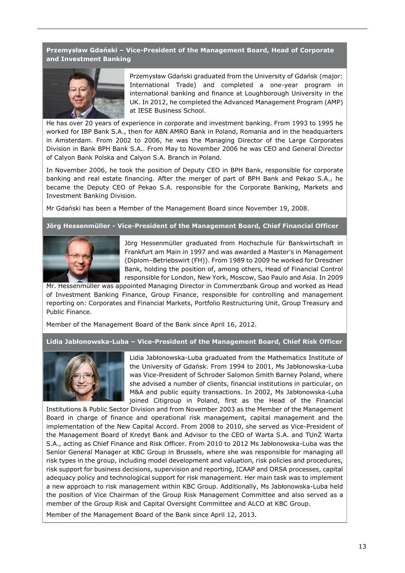**Przemysław Gdański – Vice-President of the Management Board, Head of Corporate and Investment Banking**



Przemysław Gdański graduated from the University of Gdańsk (major: International Trade) and completed a one-year program in international banking and finance at Loughborough University in the UK. In 2012, he completed the Advanced Management Program (AMP) at IESE Business School.

He has over 20 years of experience in corporate and investment banking. From 1993 to 1995 he worked for IBP Bank S.A., then for ABN AMRO Bank in Poland, Romania and in the headquarters in Amsterdam. From 2002 to 2006, he was the Managing Director of the Large Corporates Division in Bank BPH Bank S.A.. From May to November 2006 he was CEO and General Director of Calyon Bank Polska and Calyon S.A. Branch in Poland.

In November 2006, he took the position of Deputy CEO in BPH Bank, responsible for corporate banking and real estate financing. After the merger of part of BPH Bank and Pekao S.A., he became the Deputy CEO of Pekao S.A. responsible for the Corporate Banking, Markets and Investment Banking Division.

Mr Gdański has been a Member of the Management Board since November 19, 2008.

#### **Jörg Hessenmüller - Vice-President of the Management Board, Chief Financial Officer**



Jörg Hessenmüller graduated from Hochschule für Bankwirtschaft in Frankfurt am Main in 1997 and was awarded a Master's in Management (Diplom–Betriebswirt (FH)). From 1989 to 2009 he worked for Dresdner Bank, holding the position of, among others, Head of Financial Control responsible for London, New York, Moscow, Sao Paulo and Asia. In 2009

Mr. Hessenmüller was appointed Managing Director in Commerzbank Group and worked as Head of Investment Banking Finance, Group Finance, responsible for controlling and management reporting on: Corporates and Financial Markets, Portfolio Restructuring Unit, Group Treasury and Public Finance.

Member of the Management Board of the Bank since April 16, 2012.

**Lidia Jabłonowska-Luba – Vice-President of the Management Board, Chief Risk Officer**



Lidia Jabłonowska-Luba graduated from the Mathematics Institute of the University of Gdańsk. From 1994 to 2001, Ms Jabłonowska-Luba was Vice-President of Schroder Salomon Smith Barney Poland, where she advised a number of clients, financial institutions in particular, on M&A and public equity transactions. In 2002, Ms Jabłonowska-Luba joined Citigroup in Poland, first as the Head of the Financial

Institutions & Public Sector Division and from November 2003 as the Member of the Management Board in charge of finance and operational risk management, capital management and the implementation of the New Capital Accord. From 2008 to 2010, she served as Vice-President of the Management Board of Kredyt Bank and Advisor to the CEO of Warta S.A. and TUnŻ Warta S.A., acting as Chief Finance and Risk Officer. From 2010 to 2012 Ms Jabłonowska-Luba was the Senior General Manager at KBC Group in Brussels, where she was responsible for managing all risk types in the group, including model development and valuation, risk policies and procedures, risk support for business decisions, supervision and reporting, ICAAP and ORSA processes, capital adequacy policy and technological support for risk management. Her main task was to implement a new approach to risk management within KBC Group. Additionally, Ms Jabłonowska-Luba held the position of Vice Chairman of the Group Risk Management Committee and also served as a member of the Group Risk and Capital Oversight Committee and ALCO at KBC Group.

Member of the Management Board of the Bank since April 12, 2013.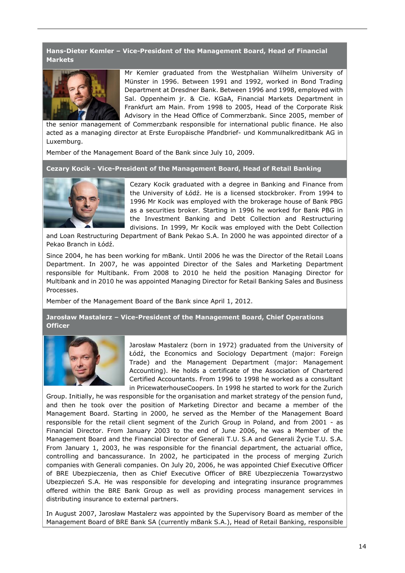## **Hans-Dieter Kemler – Vice-President of the Management Board, Head of Financial Markets**



Mr Kemler graduated from the Westphalian Wilhelm University of Münster in 1996. Between 1991 and 1992, worked in Bond Trading Department at Dresdner Bank. Between 1996 and 1998, employed with Sal. Oppenheim jr. & Cie. KGaA, Financial Markets Department in Frankfurt am Main. From 1998 to 2005, Head of the Corporate Risk Advisory in the Head Office of Commerzbank. Since 2005, member of

the senior management of Commerzbank responsible for international public finance. He also acted as a managing director at Erste Europäische Pfandbrief- und Kommunalkreditbank AG in Luxemburg.

Member of the Management Board of the Bank since July 10, 2009.

**Cezary Kocik - Vice-President of the Management Board, Head of Retail Banking**



Cezary Kocik graduated with a degree in Banking and Finance from the University of Łódź. He is a licensed stockbroker. From 1994 to 1996 Mr Kocik was employed with the brokerage house of Bank PBG as a securities broker. Starting in 1996 he worked for Bank PBG in the Investment Banking and Debt Collection and Restructuring divisions. In 1999, Mr Kocik was employed with the Debt Collection

and Loan Restructuring Department of Bank Pekao S.A. In 2000 he was appointed director of a Pekao Branch in Łódź.

Since 2004, he has been working for mBank. Until 2006 he was the Director of the Retail Loans Department. In 2007, he was appointed Director of the Sales and Marketing Department responsible for Multibank. From 2008 to 2010 he held the position Managing Director for Multibank and in 2010 he was appointed Managing Director for Retail Banking Sales and Business Processes.

Member of the Management Board of the Bank since April 1, 2012.

# **Jarosław Mastalerz – Vice-President of the Management Board, Chief Operations Officer**



Jarosław Mastalerz (born in 1972) graduated from the University of Łódź, the Economics and Sociology Department (major: Foreign Trade) and the Management Department (major: Management Accounting). He holds a certificate of the Association of Chartered Certified Accountants. From 1996 to 1998 he worked as a consultant in PricewaterhouseCoopers. In 1998 he started to work for the Zurich

Group. Initially, he was responsible for the organisation and market strategy of the pension fund, and then he took over the position of Marketing Director and became a member of the Management Board. Starting in 2000, he served as the Member of the Management Board responsible for the retail client segment of the Zurich Group in Poland, and from 2001 - as Financial Director. From January 2003 to the end of June 2006, he was a Member of the Management Board and the Financial Director of Generali T.U. S.A and Generali Życie T.U. S.A. From January 1, 2003, he was responsible for the financial department, the actuarial office, controlling and bancassurance. In 2002, he participated in the process of merging Zurich companies with Generali companies. On July 20, 2006, he was appointed Chief Executive Officer of BRE Ubezpieczenia, then as Chief Executive Officer of BRE Ubezpieczenia Towarzystwo Ubezpieczeń S.A. He was responsible for developing and integrating insurance programmes offered within the BRE Bank Group as well as providing process management services in distributing insurance to external partners.

In August 2007, Jarosław Mastalerz was appointed by the Supervisory Board as member of the Management Board of BRE Bank SA (currently mBank S.A.), Head of Retail Banking, responsible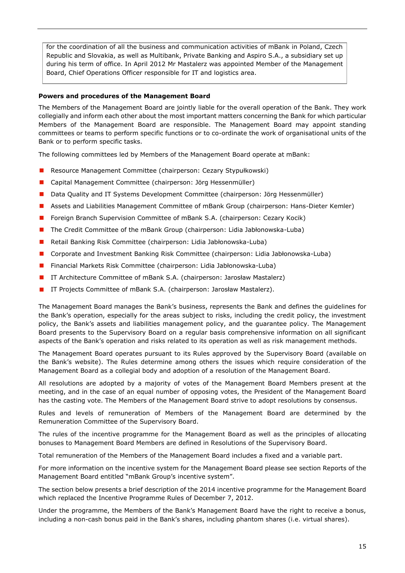for the coordination of all the business and communication activities of mBank in Poland, Czech Republic and Slovakia, as well as Multibank, Private Banking and Aspiro S.A., a subsidiary set up during his term of office. In April 2012 Mr Mastalerz was appointed Member of the Management Board, Chief Operations Officer responsible for IT and logistics area.

#### **Powers and procedures of the Management Board**

The Members of the Management Board are jointly liable for the overall operation of the Bank. They work collegially and inform each other about the most important matters concerning the Bank for which particular Members of the Management Board are responsible. The Management Board may appoint standing committees or teams to perform specific functions or to co-ordinate the work of organisational units of the Bank or to perform specific tasks.

The following committees led by Members of the Management Board operate at mBank:

- Resource Management Committee (chairperson: Cezary Stypułkowski)
- Capital Management Committee (chairperson: Jörg Hessenmüller)
- **Data Quality and IT Systems Development Committee (chairperson: Jörg Hessenmüller)**
- Assets and Liabilities Management Committee of mBank Group (chairperson: Hans-Dieter Kemler)
- **F** Foreign Branch Supervision Committee of mBank S.A. (chairperson: Cezary Kocik)
- **The Credit Committee of the mBank Group (chairperson: Lidia Jabłonowska-Luba)**
- Retail Banking Risk Committee (chairperson: Lidia Jabłonowska-Luba)
- Corporate and Investment Banking Risk Committee (chairperson: Lidia Jabłonowska-Luba)
- Financial Markets Risk Committee (chairperson: Lidia Jabłonowska-Luba)
- **IT Architecture Committee of mBank S.A. (chairperson: Jarosław Mastalerz)**
- IT Projects Committee of mBank S.A. (chairperson: Jarosław Mastalerz).

The Management Board manages the Bank's business, represents the Bank and defines the guidelines for the Bank's operation, especially for the areas subject to risks, including the credit policy, the investment policy, the Bank's assets and liabilities management policy, and the guarantee policy. The Management Board presents to the Supervisory Board on a regular basis comprehensive information on all significant aspects of the Bank's operation and risks related to its operation as well as risk management methods.

The Management Board operates pursuant to its Rules approved by the Supervisory Board (available on the Bank's website). The Rules determine among others the issues which require consideration of the Management Board as a collegial body and adoption of a resolution of the Management Board.

All resolutions are adopted by a majority of votes of the Management Board Members present at the meeting, and in the case of an equal number of opposing votes, the President of the Management Board has the casting vote. The Members of the Management Board strive to adopt resolutions by consensus.

Rules and levels of remuneration of Members of the Management Board are determined by the Remuneration Committee of the Supervisory Board.

The rules of the incentive programme for the Management Board as well as the principles of allocating bonuses to Management Board Members are defined in Resolutions of the Supervisory Board.

Total remuneration of the Members of the Management Board includes a fixed and a variable part.

For more information on the incentive system for the Management Board please see section Reports of the Management Board entitled "mBank Group's incentive system".

The section below presents a brief description of the 2014 incentive programme for the Management Board which replaced the Incentive Programme Rules of December 7, 2012.

Under the programme, the Members of the Bank's Management Board have the right to receive a bonus, including a non-cash bonus paid in the Bank's shares, including phantom shares (i.e. virtual shares).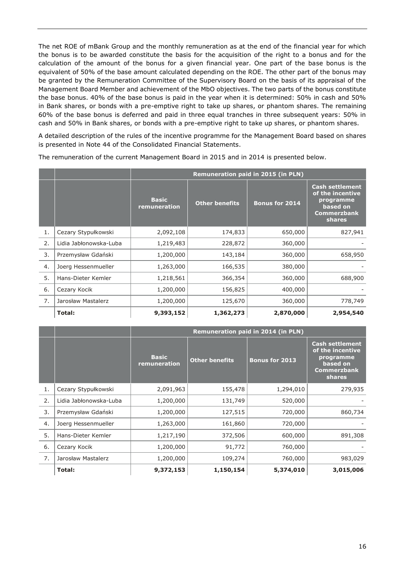The net ROE of mBank Group and the monthly remuneration as at the end of the financial year for which the bonus is to be awarded constitute the basis for the acquisition of the right to a bonus and for the calculation of the amount of the bonus for a given financial year. One part of the base bonus is the equivalent of 50% of the base amount calculated depending on the ROE. The other part of the bonus may be granted by the Remuneration Committee of the Supervisory Board on the basis of its appraisal of the Management Board Member and achievement of the MbO objectives. The two parts of the bonus constitute the base bonus. 40% of the base bonus is paid in the year when it is determined: 50% in cash and 50% in Bank shares, or bonds with a pre-emptive right to take up shares, or phantom shares. The remaining 60% of the base bonus is deferred and paid in three equal tranches in three subsequent years: 50% in cash and 50% in Bank shares, or bonds with a pre-emptive right to take up shares, or phantom shares.

A detailed description of the rules of the incentive programme for the Management Board based on shares is presented in Note 44 of the Consolidated Financial Statements.

|    |                        | Remuneration paid in 2015 (in PLN) |                       |                |                                                                                                     |
|----|------------------------|------------------------------------|-----------------------|----------------|-----------------------------------------------------------------------------------------------------|
|    |                        | <b>Basic</b><br>remuneration       | <b>Other benefits</b> | Bonus for 2014 | <b>Cash settlement</b><br>of the incentive<br>programme<br>based on<br><b>Commerzbank</b><br>shares |
| 1. | Cezary Stypułkowski    | 2,092,108                          | 174,833               | 650,000        | 827,941                                                                                             |
| 2. | Lidia Jabłonowska-Luba | 1,219,483                          | 228,872               | 360,000        |                                                                                                     |
| 3. | Przemysław Gdański     | 1,200,000                          | 143,184               | 360,000        | 658,950                                                                                             |
| 4. | Joerg Hessenmueller    | 1,263,000                          | 166,535               | 380,000        |                                                                                                     |
| 5. | Hans-Dieter Kemler     | 1,218,561                          | 366,354               | 360,000        | 688,900                                                                                             |
| 6. | Cezary Kocik           | 1,200,000                          | 156,825               | 400,000        |                                                                                                     |
| 7. | Jarosław Mastalerz     | 1,200,000                          | 125,670               | 360,000        | 778,749                                                                                             |
|    | Total:                 | 9,393,152                          | 1,362,273             | 2,870,000      | 2,954,540                                                                                           |

The remuneration of the current Management Board in 2015 and in 2014 is presented below.

|    |                        | <b>Remuneration paid in 2014 (in PLN)</b> |                       |                       |                                                                                                     |
|----|------------------------|-------------------------------------------|-----------------------|-----------------------|-----------------------------------------------------------------------------------------------------|
|    |                        | <b>Basic</b><br>remuneration              | <b>Other benefits</b> | <b>Bonus for 2013</b> | <b>Cash settlement</b><br>of the incentive<br>programme<br>based on<br><b>Commerzbank</b><br>shares |
| 1. | Cezary Stypułkowski    | 2,091,963                                 | 155,478               | 1,294,010             | 279,935                                                                                             |
| 2. | Lidia Jabłonowska-Luba | 1,200,000                                 | 131,749               | 520,000               |                                                                                                     |
| 3. | Przemysław Gdański     | 1,200,000                                 | 127,515               | 720,000               | 860,734                                                                                             |
| 4. | Joerg Hessenmueller    | 1,263,000                                 | 161,860               | 720,000               |                                                                                                     |
| 5. | Hans-Dieter Kemler     | 1,217,190                                 | 372,506               | 600,000               | 891,308                                                                                             |
| 6. | Cezary Kocik           | 1,200,000                                 | 91,772                | 760,000               |                                                                                                     |
| 7. | Jarosław Mastalerz     | 1,200,000                                 | 109,274               | 760,000               | 983,029                                                                                             |
|    | Total:                 | 9,372,153                                 | 1,150,154             | 5,374,010             | 3,015,006                                                                                           |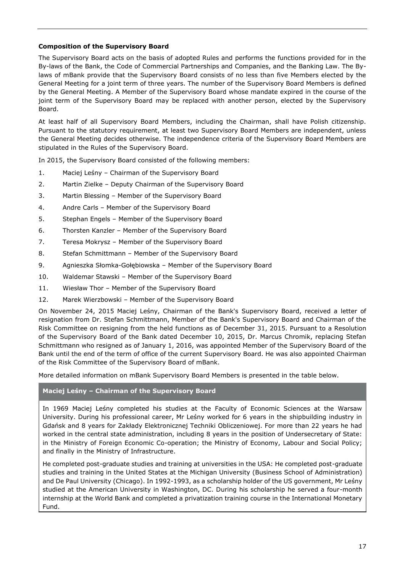# **Composition of the Supervisory Board**

The Supervisory Board acts on the basis of adopted Rules and performs the functions provided for in the By-laws of the Bank, the Code of Commercial Partnerships and Companies, and the Banking Law. The Bylaws of mBank provide that the Supervisory Board consists of no less than five Members elected by the General Meeting for a joint term of three years. The number of the Supervisory Board Members is defined by the General Meeting. A Member of the Supervisory Board whose mandate expired in the course of the joint term of the Supervisory Board may be replaced with another person, elected by the Supervisory Board.

At least half of all Supervisory Board Members, including the Chairman, shall have Polish citizenship. Pursuant to the statutory requirement, at least two Supervisory Board Members are independent, unless the General Meeting decides otherwise. The independence criteria of the Supervisory Board Members are stipulated in the Rules of the Supervisory Board.

In 2015, the Supervisory Board consisted of the following members:

- 1. Maciej Leśny Chairman of the Supervisory Board
- 2. Martin Zielke Deputy Chairman of the Supervisory Board
- 3. Martin Blessing Member of the Supervisory Board
- 4. Andre Carls Member of the Supervisory Board
- 5. Stephan Engels Member of the Supervisory Board
- 6. Thorsten Kanzler Member of the Supervisory Board
- 7. Teresa Mokrysz Member of the Supervisory Board
- 8. Stefan Schmittmann Member of the Supervisory Board
- 9. Agnieszka Słomka-Gołębiowska Member of the Supervisory Board
- 10. Waldemar Stawski Member of the Supervisory Board
- 11. Wiesław Thor Member of the Supervisory Board
- 12. Marek Wierzbowski Member of the Supervisory Board

On November 24, 2015 Maciej Leśny, Chairman of the Bank's Supervisory Board, received a letter of resignation from Dr. Stefan Schmittmann, Member of the Bank's Supervisory Board and Chairman of the Risk Committee on resigning from the held functions as of December 31, 2015. Pursuant to a Resolution of the Supervisory Board of the Bank dated December 10, 2015, Dr. Marcus Chromik, replacing Stefan Schmittmann who resigned as of January 1, 2016, was appointed Member of the Supervisory Board of the Bank until the end of the term of office of the current Supervisory Board. He was also appointed Chairman of the Risk Committee of the Supervisory Board of mBank.

More detailed information on mBank Supervisory Board Members is presented in the table below.

# **Maciej Leśny – Chairman of the Supervisory Board**

In 1969 Maciej Leśny completed his studies at the Faculty of Economic Sciences at the Warsaw University. During his professional career, Mr Leśny worked for 6 years in the shipbuilding industry in Gdańsk and 8 years for Zakłady Elektronicznej Techniki Obliczeniowej. For more than 22 years he had worked in the central state administration, including 8 years in the position of Undersecretary of State: in the Ministry of Foreign Economic Co-operation; the Ministry of Economy, Labour and Social Policy; and finally in the Ministry of Infrastructure.

He completed post-graduate studies and training at universities in the USA: He completed post-graduate studies and training in the United States at the Michigan University (Business School of Administration) and De Paul University (Chicago). In 1992-1993, as a scholarship holder of the US government, Mr Leśny studied at the American University in Washington, DC. During his scholarship he served a four-month internship at the World Bank and completed a privatization training course in the International Monetary Fund.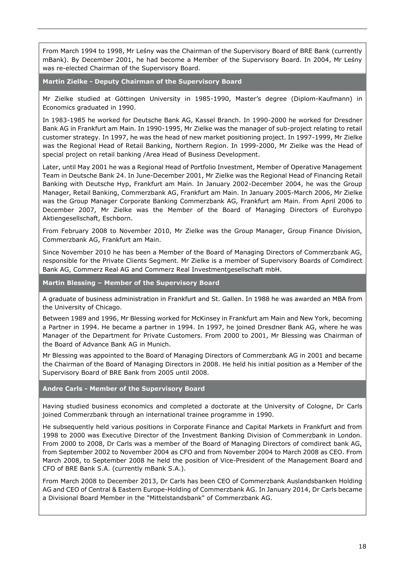From March 1994 to 1998, Mr Leśny was the Chairman of the Supervisory Board of BRE Bank (currently mBank). By December 2001, he had become a Member of the Supervisory Board. In 2004, Mr Leśny was re-elected Chairman of the Supervisory Board.

**Martin Zielke - Deputy Chairman of the Supervisory Board**

Mr Zielke studied at Göttingen University in 1985-1990, Master's degree (Diplom-Kaufmann) in Economics graduated in 1990.

In 1983-1985 he worked for Deutsche Bank AG, Kassel Branch. In 1990-2000 he worked for Dresdner Bank AG in Frankfurt am Main. In 1990-1995, Mr Zielke was the manager of sub-project relating to retail customer strategy. In 1997, he was the head of new market positioning project. In 1997-1999, Mr Zielke was the Regional Head of Retail Banking, Northern Region. In 1999-2000, Mr Zielke was the Head of special project on retail banking /Area Head of Business Development.

Later, until May 2001 he was a Regional Head of Portfolio Investment, Member of Operative Management Team in Deutsche Bank 24. In June-December 2001, Mr Zielke was the Regional Head of Financing Retail Banking with Deutsche Hyp, Frankfurt am Main. In January 2002-December 2004, he was the Group Manager, Retail Banking, Commerzbank AG, Frankfurt am Main. In January 2005-March 2006, Mr Zielke was the Group Manager Corporate Banking Commerzbank AG, Frankfurt am Main. From April 2006 to December 2007, Mr Zielke was the Member of the Board of Managing Directors of Eurohypo Aktiengesellschaft, Eschborn.

From February 2008 to November 2010, Mr Zielke was the Group Manager, Group Finance Division, Commerzbank AG, Frankfurt am Main.

Since November 2010 he has been a Member of the Board of Managing Directors of Commerzbank AG, responsible for the Private Clients Segment. Mr Zielke is a member of Supervisory Boards of Comdirect Bank AG, Commerz Real AG and Commerz Real Investmentgesellschaft mbH.

**Martin Blessing – Member of the Supervisory Board**

A graduate of business administration in Frankfurt and St. Gallen. In 1988 he was awarded an MBA from the University of Chicago.

Between 1989 and 1996, Mr Blessing worked for McKinsey in Frankfurt am Main and New York, becoming a Partner in 1994. He became a partner in 1994. In 1997, he joined Dresdner Bank AG, where he was Manager of the Department for Private Customers. From 2000 to 2001, Mr Blessing was Chairman of the Board of Advance Bank AG in Munich.

Mr Blessing was appointed to the Board of Managing Directors of Commerzbank AG in 2001 and became the Chairman of the Board of Managing Directors in 2008. He held his initial position as a Member of the Supervisory Board of BRE Bank from 2005 until 2008.

#### **Andre Carls - Member of the Supervisory Board**

Having studied business economics and completed a doctorate at the University of Cologne, Dr Carls joined Commerzbank through an international trainee programme in 1990.

He subsequently held various positions in Corporate Finance and Capital Markets in Frankfurt and from 1998 to 2000 was Executive Director of the Investment Banking Division of Commerzbank in London. From 2000 to 2008, Dr Carls was a member of the Board of Managing Directors of comdirect bank AG, from September 2002 to November 2004 as CFO and from November 2004 to March 2008 as CEO. From March 2008, to September 2008 he held the position of Vice-President of the Management Board and CFO of BRE Bank S.A. (currently mBank S.A.).

From March 2008 to December 2013, Dr Carls has been CEO of Commerzbank Auslandsbanken Holding AG and CEO of Central & Eastern Europe-Holding of Commerzbank AG. In January 2014, Dr Carls became a Divisional Board Member in the "Mittelstandsbank" of Commerzbank AG.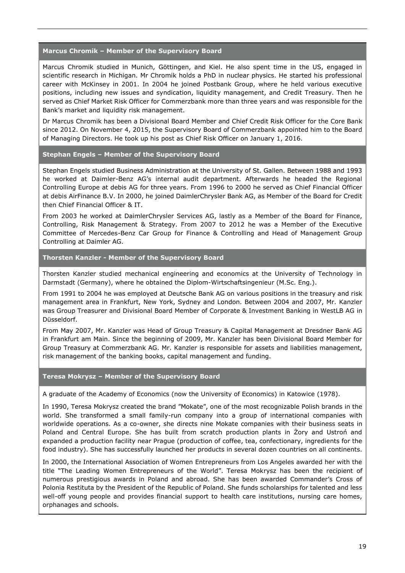### **Marcus Chromik – Member of the Supervisory Board**

Marcus Chromik studied in Munich, Göttingen, and Kiel. He also spent time in the US, engaged in scientific research in Michigan. Mr Chromik holds a PhD in nuclear physics. He started his professional career with McKinsey in 2001. In 2004 he joined Postbank Group, where he held various executive positions, including new issues and syndication, liquidity management, and Credit Treasury. Then he served as Chief Market Risk Officer for Commerzbank more than three years and was responsible for the Bank's market and liquidity risk management.

Dr Marcus Chromik has been a Divisional Board Member and Chief Credit Risk Officer for the Core Bank since 2012. On November 4, 2015, the Supervisory Board of Commerzbank appointed him to the Board of Managing Directors. He took up his post as Chief Risk Officer on January 1, 2016.

## **Stephan Engels – Member of the Supervisory Board**

Stephan Engels studied Business Administration at the University of St. Gallen. Between 1988 and 1993 he worked at Daimler-Benz AG's internal audit department. Afterwards he headed the Regional Controlling Europe at debis AG for three years. From 1996 to 2000 he served as Chief Financial Officer at debis AirFinance B.V. In 2000, he joined DaimlerChrysler Bank AG, as Member of the Board for Credit then Chief Financial Officer & IT.

From 2003 he worked at DaimlerChrysler Services AG, lastly as a Member of the Board for Finance, Controlling, Risk Management & Strategy. From 2007 to 2012 he was a Member of the Executive Committee of Mercedes-Benz Car Group for Finance & Controlling and Head of Management Group Controlling at Daimler AG.

# **Thorsten Kanzler - Member of the Supervisory Board**

Thorsten Kanzler studied mechanical engineering and economics at the University of Technology in Darmstadt (Germany), where he obtained the Diplom-Wirtschaftsingenieur (M.Sc. Eng.).

From 1991 to 2004 he was employed at Deutsche Bank AG on various positions in the treasury and risk management area in Frankfurt, New York, Sydney and London. Between 2004 and 2007, Mr. Kanzler was Group Treasurer and Divisional Board Member of Corporate & Investment Banking in WestLB AG in Düsseldorf.

From May 2007, Mr. Kanzler was Head of Group Treasury & Capital Management at Dresdner Bank AG in Frankfurt am Main. Since the beginning of 2009, Mr. Kanzler has been Divisional Board Member for Group Treasury at Commerzbank AG. Mr. Kanzler is responsible for assets and liabilities management, risk management of the banking books, capital management and funding.

#### **Teresa Mokrysz – Member of the Supervisory Board**

A graduate of the Academy of Economics (now the University of Economics) in Katowice (1978).

In 1990, Teresa Mokrysz created the brand "Mokate", one of the most recognizable Polish brands in the world. She transformed a small family-run company into a group of international companies with worldwide operations. As a co-owner, she directs nine Mokate companies with their business seats in Poland and Central Europe. She has built from scratch production plants in Żory and Ustroń and expanded a production facility near Prague (production of coffee, tea, confectionary, ingredients for the food industry). She has successfully launched her products in several dozen countries on all continents.

In 2000, the International Association of Women Entrepreneurs from Los Angeles awarded her with the title "The Leading Women Entrepreneurs of the World". Teresa Mokrysz has been the recipient of numerous prestigious awards in Poland and abroad. She has been awarded Commander's Cross of Polonia Restituta by the President of the Republic of Poland. She funds scholarships for talented and less well-off young people and provides financial support to health care institutions, nursing care homes, orphanages and schools.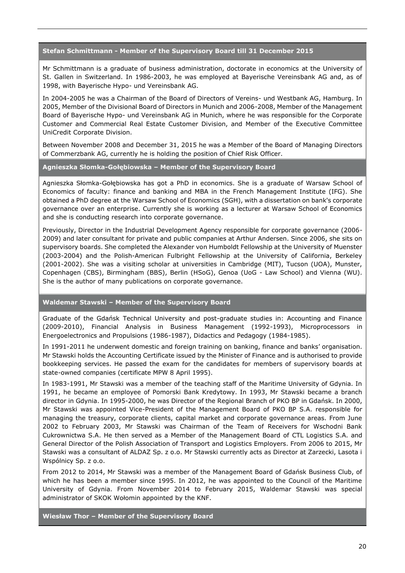#### **Stefan Schmittmann - Member of the Supervisory Board till 31 December 2015**

Mr Schmittmann is a graduate of business administration, doctorate in economics at the University of St. Gallen in Switzerland. In 1986-2003, he was employed at Bayerische Vereinsbank AG and, as of 1998, with Bayerische Hypo- und Vereinsbank AG.

In 2004-2005 he was a Chairman of the Board of Directors of Vereins- und Westbank AG, Hamburg. In 2005, Member of the Divisional Board of Directors in Munich and 2006-2008, Member of the Management Board of Bayerische Hypo- und Vereinsbank AG in Munich, where he was responsible for the Corporate Customer and Commercial Real Estate Customer Division, and Member of the Executive Committee UniCredit Corporate Division.

Between November 2008 and December 31, 2015 he was a Member of the Board of Managing Directors of Commerzbank AG, currently he is holding the position of Chief Risk Officer.

#### **Agnieszka Słomka-Gołębiowska – Member of the Supervisory Board**

Agnieszka Słomka-Gołębiowska has got a PhD in economics. She is a graduate of Warsaw School of Economics of faculty: finance and banking and MBA in the French Management Institute (IFG). She obtained a PhD degree at the Warsaw School of Economics (SGH), with a dissertation on bank's corporate governance over an enterprise. Currently she is working as a lecturer at Warsaw School of Economics and she is conducting research into corporate governance.

Previously, Director in the Industrial Development Agency responsible for corporate governance (2006- 2009) and later consultant for private and public companies at Arthur Andersen. Since 2006, she sits on supervisory boards. She completed the Alexander von Humboldt Fellowship at the University of Muenster (2003-2004) and the Polish-American Fulbright Fellowship at the University of California, Berkeley (2001-2002). She was a visiting scholar at universities in Cambridge (MIT), Tucson (UOA), Munster, Copenhagen (CBS), Birmingham (BBS), Berlin (HSoG), Genoa (UoG - Law School) and Vienna (WU). She is the author of many publications on corporate governance.

#### **Waldemar Stawski – Member of the Supervisory Board**

Graduate of the Gdańsk Technical University and post-graduate studies in: Accounting and Finance (2009-2010), Financial Analysis in Business Management (1992-1993), Microprocessors in Energoelectronics and Propulsions (1986-1987), Didactics and Pedagogy (1984-1985).

In 1991-2011 he underwent domestic and foreign training on banking, finance and banks' organisation. Mr Stawski holds the Accounting Certificate issued by the Minister of Finance and is authorised to provide bookkeeping services. He passed the exam for the candidates for members of supervisory boards at state-owned companies (certificate MPW 8 April 1995).

In 1983-1991, Mr Stawski was a member of the teaching staff of the Maritime University of Gdynia. In 1991, he became an employee of Pomorski Bank Kredytowy. In 1993, Mr Stawski became a branch director in Gdynia. In 1995-2000, he was Director of the Regional Branch of PKO BP in Gdańsk. In 2000, Mr Stawski was appointed Vice-President of the Management Board of PKO BP S.A. responsible for managing the treasury, corporate clients, capital market and corporate governance areas. From June 2002 to February 2003, Mr Stawski was Chairman of the Team of Receivers for Wschodni Bank Cukrownictwa S.A. He then served as a Member of the Management Board of CTL Logistics S.A. and General Director of the Polish Association of Transport and Logistics Employers. From 2006 to 2015, Mr Stawski was a consultant of ALDAZ Sp. z o.o. Mr Stawski currently acts as Director at Zarzecki, Lasota i Wspólnicy Sp. z o.o.

From 2012 to 2014, Mr Stawski was a member of the Management Board of Gdańsk Business Club, of which he has been a member since 1995. In 2012, he was appointed to the Council of the Maritime University of Gdynia. From November 2014 to February 2015, Waldemar Stawski was special administrator of SKOK Wołomin appointed by the KNF.

**Wiesław Thor – Member of the Supervisory Board**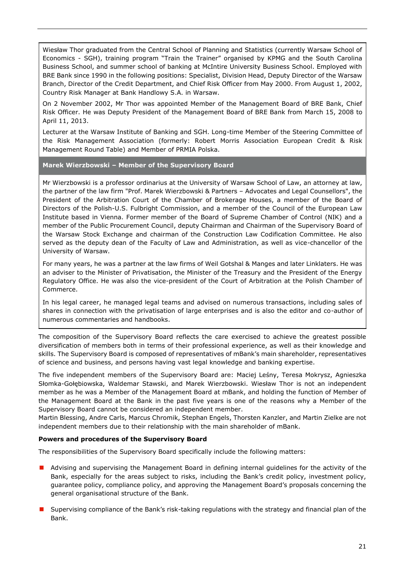Wiesław Thor graduated from the Central School of Planning and Statistics (currently Warsaw School of Economics - SGH), training program "Train the Trainer" organised by KPMG and the South Carolina Business School, and summer school of banking at McIntire University Business School. Employed with BRE Bank since 1990 in the following positions: Specialist, Division Head, Deputy Director of the Warsaw Branch, Director of the Credit Department, and Chief Risk Officer from May 2000. From August 1, 2002, Country Risk Manager at Bank Handlowy S.A. in Warsaw.

On 2 November 2002, Mr Thor was appointed Member of the Management Board of BRE Bank, Chief Risk Officer. He was Deputy President of the Management Board of BRE Bank from March 15, 2008 to April 11, 2013.

Lecturer at the Warsaw Institute of Banking and SGH. Long-time Member of the Steering Committee of the Risk Management Association (formerly: Robert Morris Association European Credit & Risk Management Round Table) and Member of PRMIA Polska.

# **Marek Wierzbowski – Member of the Supervisory Board**

Mr Wierzbowski is a professor ordinarius at the University of Warsaw School of Law, an attorney at law, the partner of the law firm "Prof. Marek Wierzbowski & Partners – Advocates and Legal Counsellors", the President of the Arbitration Court of the Chamber of Brokerage Houses, a member of the Board of Directors of the Polish-U.S. Fulbright Commission, and a member of the Council of the European Law Institute based in Vienna. Former member of the Board of Supreme Chamber of Control (NIK) and a member of the Public Procurement Council, deputy Chairman and Chairman of the Supervisory Board of the Warsaw Stock Exchange and chairman of the Construction Law Codification Committee. He also served as the deputy dean of the Faculty of Law and Administration, as well as vice-chancellor of the University of Warsaw.

For many years, he was a partner at the law firms of Weil Gotshal & Manges and later Linklaters. He was an adviser to the Minister of Privatisation, the Minister of the Treasury and the President of the Energy Regulatory Office. He was also the vice-president of the Court of Arbitration at the Polish Chamber of Commerce.

In his legal career, he managed legal teams and advised on numerous transactions, including sales of shares in connection with the privatisation of large enterprises and is also the editor and co-author of numerous commentaries and handbooks.

The composition of the Supervisory Board reflects the care exercised to achieve the greatest possible diversification of members both in terms of their professional experience, as well as their knowledge and skills. The Supervisory Board is composed of representatives of mBank's main shareholder, representatives of science and business, and persons having vast legal knowledge and banking expertise.

The five independent members of the Supervisory Board are: Maciej Leśny, Teresa Mokrysz, Agnieszka Słomka-Gołębiowska, Waldemar Stawski, and Marek Wierzbowski. Wiesław Thor is not an independent member as he was a Member of the Management Board at mBank, and holding the function of Member of the Management Board at the Bank in the past five years is one of the reasons why a Member of the Supervisory Board cannot be considered an independent member.

Martin Blessing, Andre Carls, Marcus Chromik, Stephan Engels, Thorsten Kanzler, and Martin Zielke are not independent members due to their relationship with the main shareholder of mBank.

# **Powers and procedures of the Supervisory Board**

The responsibilities of the Supervisory Board specifically include the following matters:

- **A** Advising and supervising the Management Board in defining internal guidelines for the activity of the Bank, especially for the areas subject to risks, including the Bank's credit policy, investment policy, guarantee policy, compliance policy, and approving the Management Board's proposals concerning the general organisational structure of the Bank.
- **I** Supervising compliance of the Bank's risk-taking regulations with the strategy and financial plan of the Bank.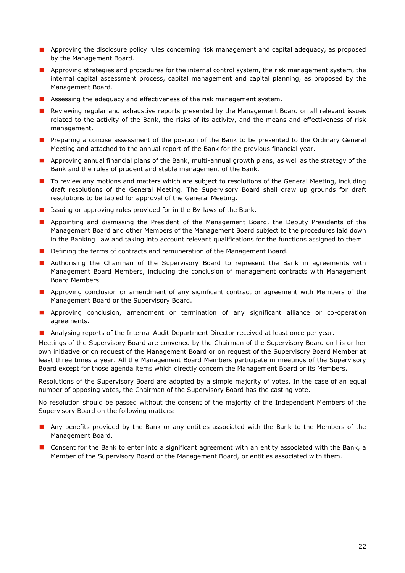- **Approving the disclosure policy rules concerning risk management and capital adequacy, as proposed** by the Management Board.
- **Approving strategies and procedures for the internal control system, the risk management system, the** internal capital assessment process, capital management and capital planning, as proposed by the Management Board.
- **Assessing the adequacy and effectiveness of the risk management system.**
- **Reviewing regular and exhaustive reports presented by the Management Board on all relevant issues** related to the activity of the Bank, the risks of its activity, and the means and effectiveness of risk management.
- **Preparing a concise assessment of the position of the Bank to be presented to the Ordinary General** Meeting and attached to the annual report of the Bank for the previous financial year.
- **Approving annual financial plans of the Bank, multi-annual growth plans, as well as the strategy of the** Bank and the rules of prudent and stable management of the Bank.
- To review any motions and matters which are subject to resolutions of the General Meeting, including draft resolutions of the General Meeting. The Supervisory Board shall draw up grounds for draft resolutions to be tabled for approval of the General Meeting.
- **If** Issuing or approving rules provided for in the By-laws of the Bank.
- **Appointing and dismissing the President of the Management Board, the Deputy Presidents of the** Management Board and other Members of the Management Board subject to the procedures laid down in the Banking Law and taking into account relevant qualifications for the functions assigned to them.
- Defining the terms of contracts and remuneration of the Management Board.
- **Authorising the Chairman of the Supervisory Board to represent the Bank in agreements with** Management Board Members, including the conclusion of management contracts with Management Board Members.
- **Approving conclusion or amendment of any significant contract or agreement with Members of the** Management Board or the Supervisory Board.
- **Approving conclusion, amendment or termination of any significant alliance or co-operation** agreements.
- **Analysing reports of the Internal Audit Department Director received at least once per year.**

Meetings of the Supervisory Board are convened by the Chairman of the Supervisory Board on his or her own initiative or on request of the Management Board or on request of the Supervisory Board Member at least three times a year. All the Management Board Members participate in meetings of the Supervisory Board except for those agenda items which directly concern the Management Board or its Members.

Resolutions of the Supervisory Board are adopted by a simple majority of votes. In the case of an equal number of opposing votes, the Chairman of the Supervisory Board has the casting vote.

No resolution should be passed without the consent of the majority of the Independent Members of the Supervisory Board on the following matters:

- **Any benefits provided by the Bank or any entities associated with the Bank to the Members of the** Management Board.
- **D** Consent for the Bank to enter into a significant agreement with an entity associated with the Bank, a Member of the Supervisory Board or the Management Board, or entities associated with them.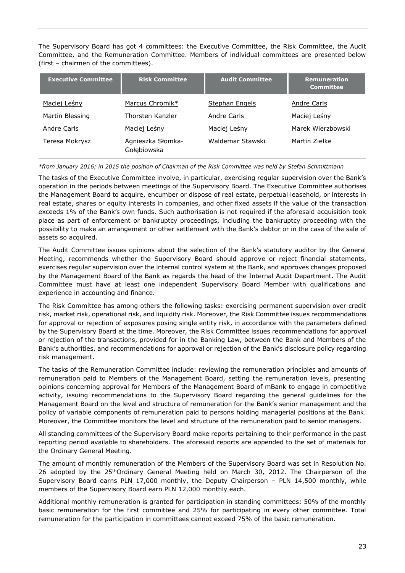The Supervisory Board has got 4 committees: the Executive Committee, the Risk Committee, the Audit Committee, and the Remuneration Committee. Members of individual committees are presented below (first – chairmen of the committees).

| <b>Executive Committee</b> | <b>Risk Committee</b>            | <b>Audit Committee</b> | <b>Remuneration</b><br><b>Committee</b> |
|----------------------------|----------------------------------|------------------------|-----------------------------------------|
| Maciej Leśny               | Marcus Chromik*                  | <b>Stephan Engels</b>  | Andre Carls                             |
| Martin Blessing            | Thorsten Kanzler                 | Andre Carls            | Maciej Leśny                            |
| Andre Carls                | Maciej Leśny                     | Maciej Leśny           | Marek Wierzbowski                       |
| Teresa Mokrysz             | Agnieszka Słomka-<br>Gołębiowska | Waldemar Stawski       | Martin Zielke                           |

*\*from January 2016; in 2015 the position of Chairman of the Risk Committee was held by Stefan Schmittmann*

The tasks of the Executive Committee involve, in particular, exercising regular supervision over the Bank's operation in the periods between meetings of the Supervisory Board. The Executive Committee authorises the Management Board to acquire, encumber or dispose of real estate, perpetual leasehold, or interests in real estate, shares or equity interests in companies, and other fixed assets if the value of the transaction exceeds 1% of the Bank's own funds. Such authorisation is not required if the aforesaid acquisition took place as part of enforcement or bankruptcy proceedings, including the bankruptcy proceeding with the possibility to make an arrangement or other settlement with the Bank's debtor or in the case of the sale of assets so acquired.

The Audit Committee issues opinions about the selection of the Bank's statutory auditor by the General Meeting, recommends whether the Supervisory Board should approve or reject financial statements, exercises regular supervision over the internal control system at the Bank, and approves changes proposed by the Management Board of the Bank as regards the head of the Internal Audit Department. The Audit Committee must have at least one independent Supervisory Board Member with qualifications and experience in accounting and finance.

The Risk Committee has among others the following tasks: exercising permanent supervision over credit risk, market risk, operational risk, and liquidity risk. Moreover, the Risk Committee issues recommendations for approval or rejection of exposures posing single entity risk, in accordance with the parameters defined by the Supervisory Board at the time. Moreover, the Risk Committee issues recommendations for approval or rejection of the transactions, provided for in the Banking Law, between the Bank and Members of the Bank's authorities, and recommendations for approval or rejection of the Bank's disclosure policy regarding risk management.

The tasks of the Remuneration Committee include: reviewing the remuneration principles and amounts of remuneration paid to Members of the Management Board, setting the remuneration levels, presenting opinions concerning approval for Members of the Management Board of mBank to engage in competitive activity, issuing recommendations to the Supervisory Board regarding the general guidelines for the Management Board on the level and structure of remuneration for the Bank's senior management and the policy of variable components of remuneration paid to persons holding managerial positions at the Bank. Moreover, the Committee monitors the level and structure of the remuneration paid to senior managers.

All standing committees of the Supervisory Board make reports pertaining to their performance in the past reporting period available to shareholders. The aforesaid reports are appended to the set of materials for the Ordinary General Meeting.

The amount of monthly remuneration of the Members of the Supervisory Board was set in Resolution No. 26 adopted by the 25<sup>th</sup>Ordinary General Meeting held on March 30, 2012. The Chairperson of the Supervisory Board earns PLN 17,000 monthly, the Deputy Chairperson – PLN 14,500 monthly, while members of the Supervisory Board earn PLN 12,000 monthly each.

Additional monthly remuneration is granted for participation in standing committees: 50% of the monthly basic remuneration for the first committee and 25% for participating in every other committee. Total remuneration for the participation in committees cannot exceed 75% of the basic remuneration.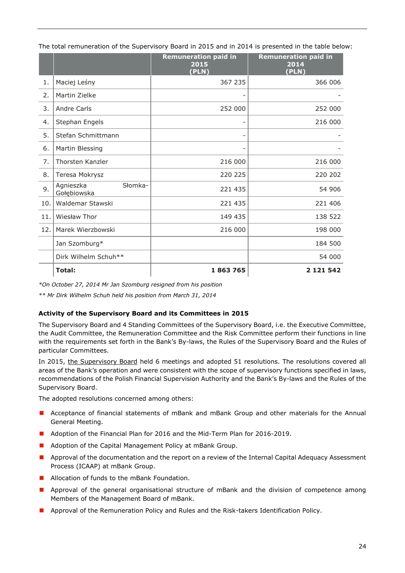|     |                                     | <b>Remuneration paid in</b><br>2015<br>(PLN) | <b>Remuneration paid in</b><br>2014<br>(PLN) |
|-----|-------------------------------------|----------------------------------------------|----------------------------------------------|
| 1.  | Maciej Leśny                        | 367 235                                      | 366 006                                      |
| 2.  | Martin Zielke                       |                                              |                                              |
| 3.  | Andre Carls                         | 252 000                                      | 252 000                                      |
| 4.  | Stephan Engels                      |                                              | 216 000                                      |
| 5.  | Stefan Schmittmann                  | $\qquad \qquad -$                            |                                              |
| 6.  | Martin Blessing                     | -                                            |                                              |
| 7.  | Thorsten Kanzler                    | 216 000                                      | 216 000                                      |
| 8.  | Teresa Mokrysz                      | 220 225                                      | 220 202                                      |
| 9.  | Słomka-<br>Agnieszka<br>Gołębiowska | 221 435                                      | 54 906                                       |
| 10. | Waldemar Stawski                    | 221 435                                      | 221 406                                      |
| 11. | Wiesław Thor                        | 149 435                                      | 138 522                                      |
| 12. | Marek Wierzbowski                   | 216 000                                      | 198 000                                      |
|     | Jan Szomburg*                       |                                              | 184 500                                      |
|     | Dirk Wilhelm Schuh**                |                                              | 54 000                                       |
|     | Total:                              | 1863765                                      | 2 1 2 1 5 4 2                                |

The total remuneration of the Supervisory Board in 2015 and in 2014 is presented in the table below:

*\*On October 27, 2014 Mr Jan Szomburg resigned from his position*

*\*\* Mr Dirk Wilhelm Schuh held his position from March 31, 2014*

# **Activity of the Supervisory Board and its Committees in 2015**

The Supervisory Board and 4 Standing Committees of the Supervisory Board, i.e. the Executive Committee, the Audit Committee, the Remuneration Committee and the Risk Committee perform their functions in line with the requirements set forth in the Bank's By-laws, the Rules of the Supervisory Board and the Rules of particular Committees.

In 2015, the Supervisory Board held 6 meetings and adopted 51 resolutions. The resolutions covered all areas of the Bank's operation and were consistent with the scope of supervisory functions specified in laws, recommendations of the Polish Financial Supervision Authority and the Bank's By-laws and the Rules of the Supervisory Board.

The adopted resolutions concerned among others:

- **Acceptance of financial statements of mBank and mBank Group and other materials for the Annual** General Meeting.
- **Adoption of the Financial Plan for 2016 and the Mid-Term Plan for 2016-2019.**
- **Adoption of the Capital Management Policy at mBank Group.**
- **Approval of the documentation and the report on a review of the Internal Capital Adequacy Assessment** Process (ICAAP) at mBank Group.
- **Allocation of funds to the mBank Foundation.**
- **Approval of the general organisational structure of mBank and the division of competence among** Members of the Management Board of mBank.
- **Approval of the Remuneration Policy and Rules and the Risk-takers Identification Policy.**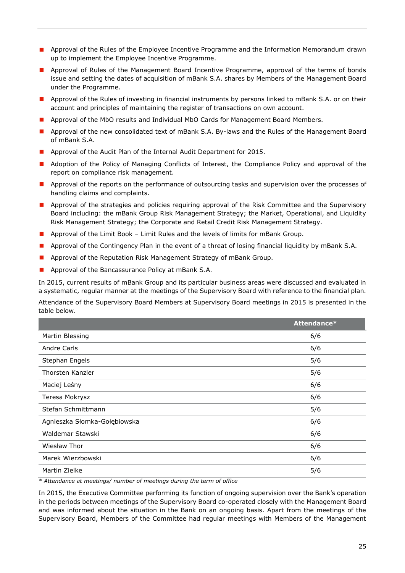- **Approval of the Rules of the Employee Incentive Programme and the Information Memorandum drawn** up to implement the Employee Incentive Programme.
- **Approval of Rules of the Management Board Incentive Programme, approval of the terms of bonds** issue and setting the dates of acquisition of mBank S.A. shares by Members of the Management Board under the Programme.
- **Approval of the Rules of investing in financial instruments by persons linked to mBank S.A. or on their and in** account and principles of maintaining the register of transactions on own account.
- **Approval of the MbO results and Individual MbO Cards for Management Board Members.**
- **Approval of the new consolidated text of mBank S.A. By-laws and the Rules of the Management Board** of mBank S.A.
- **Approval of the Audit Plan of the Internal Audit Department for 2015.**
- **Adoption of the Policy of Managing Conflicts of Interest, the Compliance Policy and approval of the** report on compliance risk management.
- **Approval of the reports on the performance of outsourcing tasks and supervision over the processes of** handling claims and complaints.
- **Approval of the strategies and policies requiring approval of the Risk Committee and the Supervisory** Board including: the mBank Group Risk Management Strategy; the Market, Operational, and Liquidity Risk Management Strategy; the Corporate and Retail Credit Risk Management Strategy.
- **Approval of the Limit Book Limit Rules and the levels of limits for mBank Group.**
- **Approval of the Contingency Plan in the event of a threat of losing financial liquidity by mBank S.A.**
- **Approval of the Reputation Risk Management Strategy of mBank Group.**
- **Approval of the Bancassurance Policy at mBank S.A.**

In 2015, current results of mBank Group and its particular business areas were discussed and evaluated in a systematic, regular manner at the meetings of the Supervisory Board with reference to the financial plan.

Attendance of the Supervisory Board Members at Supervisory Board meetings in 2015 is presented in the table below.

|                              | Attendance* |
|------------------------------|-------------|
| Martin Blessing              | 6/6         |
| Andre Carls                  | 6/6         |
| Stephan Engels               | 5/6         |
| Thorsten Kanzler             | 5/6         |
| Maciej Leśny                 | 6/6         |
| Teresa Mokrysz               | 6/6         |
| Stefan Schmittmann           | 5/6         |
| Agnieszka Słomka-Gołębiowska | 6/6         |
| Waldemar Stawski             | 6/6         |
| Wiesław Thor                 | 6/6         |
| Marek Wierzbowski            | 6/6         |
| Martin Zielke                | 5/6         |

*\* Attendance at meetings/ number of meetings during the term of office* 

In 2015, the Executive Committee performing its function of ongoing supervision over the Bank's operation in the periods between meetings of the Supervisory Board co-operated closely with the Management Board and was informed about the situation in the Bank on an ongoing basis. Apart from the meetings of the Supervisory Board, Members of the Committee had regular meetings with Members of the Management